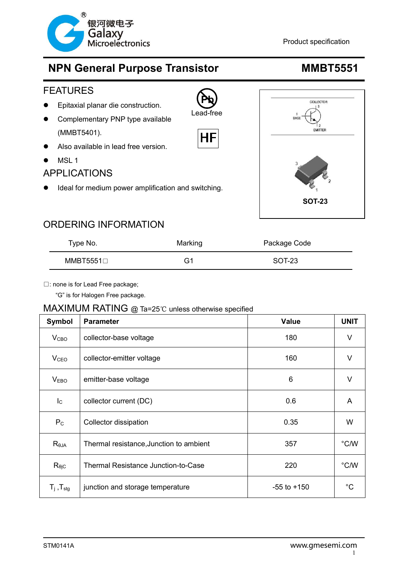

## FEATURES

- Epitaxial planar die construction.
- **•** Complementary PNP type available (MMBT5401).
- Also available in lead free version.
- MSL 1

# APPLICATIONS

 $\bullet$  Ideal for medium power amplification and switching.



# ORDERING INFORMATION

| Type No.           | Marking | Package Code |  |
|--------------------|---------|--------------|--|
| $MMB$ T5551 $\Box$ | G1      | SOT-23       |  |

**Pb** Lead-free

**HF** 

□: none is for Lead Free package;

"G" is for Halogen Free package.

### MAXIMUM RATING @ Ta=25℃ unless otherwise specified

| <b>Symbol</b>             | <b>Parameter</b>                           | <b>Value</b>    | <b>UNIT</b>    |
|---------------------------|--------------------------------------------|-----------------|----------------|
| V <sub>CBO</sub>          | collector-base voltage                     | 180             | V              |
| V <sub>CEO</sub>          | collector-emitter voltage                  | 160             | V              |
| V <sub>EBO</sub>          | emitter-base voltage                       | 6               | v              |
| $\mathsf{I}_{\mathsf{C}}$ | collector current (DC)                     | 0.6             | A              |
| $P_{C}$                   | Collector dissipation                      | 0.35            | W              |
| $R_{\theta$ JA            | Thermal resistance, Junction to ambient    | 357             | °C/W           |
| $R_{\theta jC}$           | <b>Thermal Resistance Junction-to-Case</b> | 220             | $^{\circ}$ C/W |
| $T_j$ , $T_{\text{stg}}$  | junction and storage temperature           | $-55$ to $+150$ | $^{\circ}$ C   |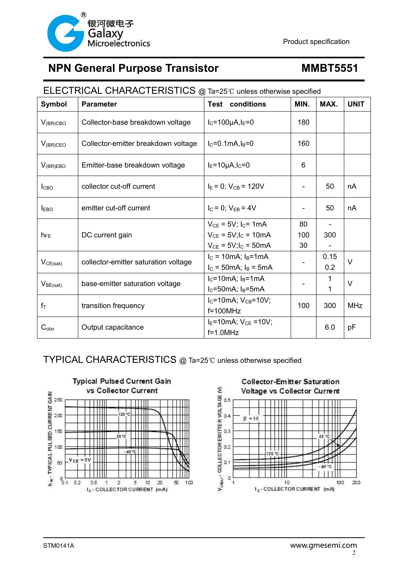

### ELECTRICAL CHARACTERISTICS @ Ta=25℃ unless otherwise specified

| <b>Symbol</b>               | <b>Parameter</b>                     | conditions<br>Test              | MIN. | MAX. | <b>UNIT</b> |
|-----------------------------|--------------------------------------|---------------------------------|------|------|-------------|
| $V_{(BR)CBO}$               | Collector-base breakdown voltage     | $I_C = 100 \mu A, I_E = 0$      | 180  |      |             |
| $V_{(BR)CEO}$               | Collector-emitter breakdown voltage  | $I_C = 0.1mA, I_B = 0$          | 160  |      |             |
| $V_{(BR)EBO}$               | Emitter-base breakdown voltage       | $IE=10\mu A, IC=0$              | 6    |      |             |
| I <sub>CBO</sub>            | collector cut-off current            | $I_E = 0$ ; $V_{CB} = 120V$     |      | 50   | nA          |
| <b>LEBO</b>                 | emitter cut-off current              | $I_C = 0$ ; $V_{EB} = 4V$       |      | 50   | nA          |
|                             |                                      | $V_{CE} = 5V$ ; $I_C = 1mA$     | 80   |      |             |
| DC current gain<br>$h_{FE}$ |                                      | $V_{CE} = 5V$ ; $I_C = 10mA$    | 100  | 300  |             |
|                             | $V_{CE} = 5V$ ; $I_C = 50mA$         | 30                              |      |      |             |
| $V_{CE(sat)}$               | collector-emitter saturation voltage | $IC$ = 10mA; $IB=1mA$           |      | 0.15 | $\vee$      |
|                             |                                      | $I_C = 50mA$ ; $I_B = 5mA$      |      | 0.2  |             |
| $V_{BE(sat)}$               | base-emitter saturation voltage      | $I_C = 10mA$ ; $I_B = 1mA$      |      | 1    | $\vee$      |
|                             |                                      | $IC=50mA; IB=5mA$               |      | 1    |             |
| $f_T$                       | transition frequency                 | $IC=10mA; VCB=10V;$             |      | 300  |             |
|                             |                                      | $f=100MHz$                      | 100  |      | <b>MHz</b>  |
|                             |                                      | $I_E = 10mA$ ; $V_{CE} = 10V$ ; |      |      |             |
| C <sub>obo</sub>            | Output capacitance                   | $f=1.0$ MHz                     |      | 6.0  | рF          |

TYPICAL CHARACTERISTICS @ Ta=25℃ unless otherwise specified



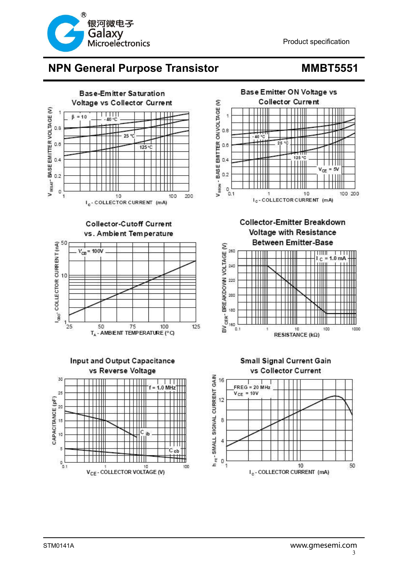



**Collector-Cutoff Current** vs. Ambient Temperature









**Collector-Emitter Breakdown Voltage with Resistance Between Emitter-Base**